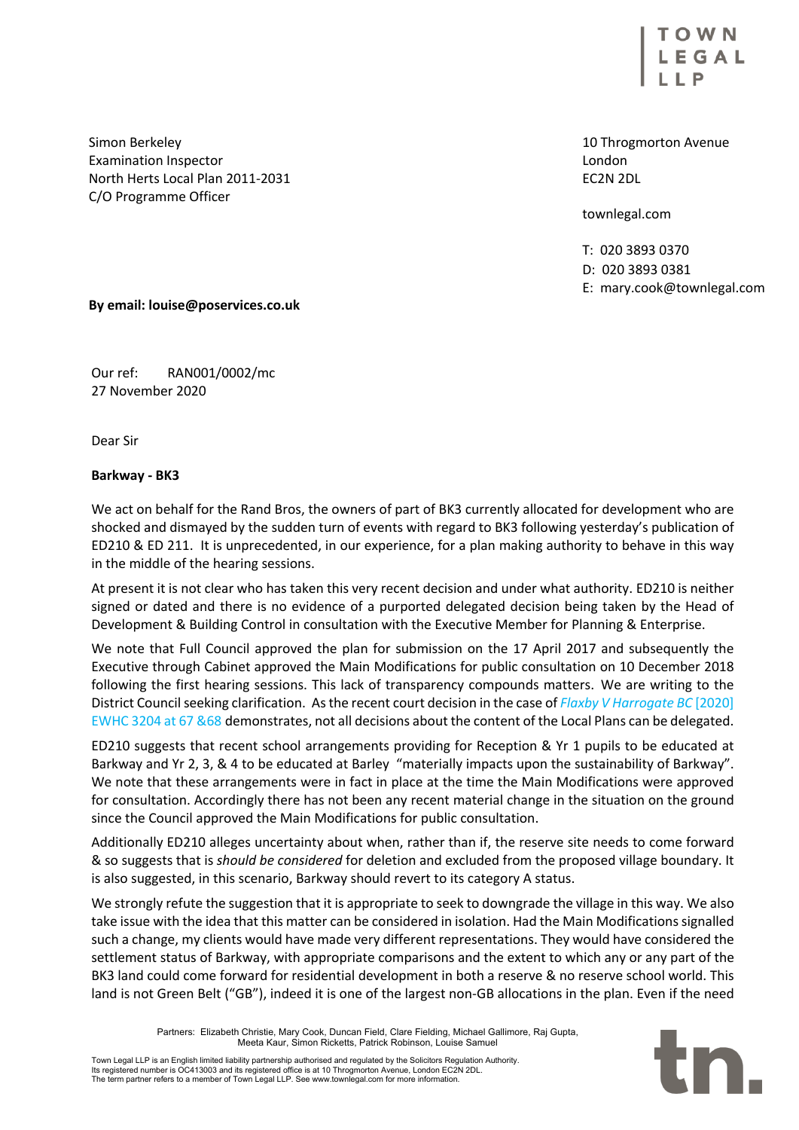EGAL

10 Throgmorton Avenue London EC2N 2DL

townlegal.com

T: 020 3893 0370 D: 020 3893 0381 E: mary.cook@townlegal.com

Simon Berkeley Examination Inspector North Herts Local Plan 2011-2031 C/O Programme Officer

## **By email: louise@poservices.co.uk**

Our ref: RAN001/0002/mc 27 November 2020

Dear Sir

## **Barkway - BK3**

We act on behalf for the Rand Bros, the owners of part of BK3 currently allocated for development who are shocked and dismayed by the sudden turn of events with regard to BK3 following yesterday's publication of ED210 & ED 211. It is unprecedented, in our experience, for a plan making authority to behave in this way in the middle of the hearing sessions.

At present it is not clear who has taken this very recent decision and under what authority. ED210 is neither signed or dated and there is no evidence of a purported delegated decision being taken by the Head of Development & Building Control in consultation with the Executive Member for Planning & Enterprise.

We note that Full Council approved the plan for submission on the 17 April 2017 and subsequently the Executive through Cabinet approved the Main Modifications for public consultation on 10 December 2018 following the first hearing sessions. This lack of transparency compounds matters. We are writing to the District Council seeking clarification. As the recent court decision in the case of *Flaxby V Harrogate BC* [2020] EWHC 3204 at 67 &68 demonstrates, not all decisions about the content of the Local Plans can be delegated.

ED210 suggests that recent school arrangements providing for Reception & Yr 1 pupils to be educated at Barkway and Yr 2, 3, & 4 to be educated at Barley "materially impacts upon the sustainability of Barkway". We note that these arrangements were in fact in place at the time the Main Modifications were approved for consultation. Accordingly there has not been any recent material change in the situation on the ground since the Council approved the Main Modifications for public consultation.

Additionally ED210 alleges uncertainty about when, rather than if, the reserve site needs to come forward & so suggests that is *should be considered* for deletion and excluded from the proposed village boundary. It is also suggested, in this scenario, Barkway should revert to its category A status.

We strongly refute the suggestion that it is appropriate to seek to downgrade the village in this way. We also take issue with the idea that this matter can be considered in isolation. Had the Main Modifications signalled such a change, my clients would have made very different representations. They would have considered the settlement status of Barkway, with appropriate comparisons and the extent to which any or any part of the BK3 land could come forward for residential development in both a reserve & no reserve school world. This land is not Green Belt ("GB"), indeed it is one of the largest non-GB allocations in the plan. Even if the need

> Partners: Elizabeth Christie, Mary Cook, Duncan Field, Clare Fielding, Michael Gallimore, Raj Gupta, Meeta Kaur, Simon Ricketts, Patrick Robinson, Louise Samuel

Town Legal LLP is an English limited liability partnership authorised and regulated by the Solicitors Regulation Authority.<br>Its registered number is OC413003 and its registered office is at 10 Throgmorton Avenue, London EC